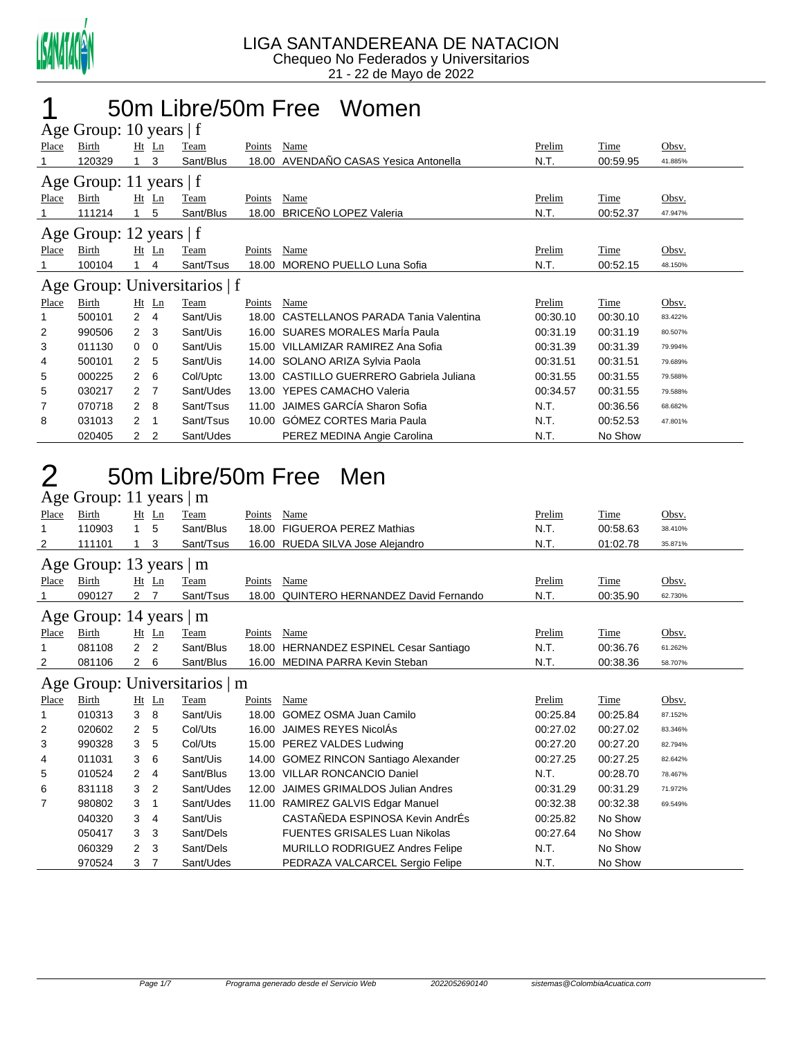

## 1 50m Libre/50m Free Women

| Age Group: 10 years   f   |        |                |                |                               |        |                                    |          |          |         |  |  |  |
|---------------------------|--------|----------------|----------------|-------------------------------|--------|------------------------------------|----------|----------|---------|--|--|--|
| Place                     | Birth  |                | $Ht$ Ln        | Team                          | Points | Name                               | Prelim   | Time     | Obsv.   |  |  |  |
|                           | 120329 |                | 3              | Sant/Blus                     | 18.00  | AVENDAÑO CASAS Yesica Antonella    | N.T.     | 00:59.95 | 41.885% |  |  |  |
| Age Group: 11 years $ f $ |        |                |                |                               |        |                                    |          |          |         |  |  |  |
| Place                     | Birth  |                | $Ht$ Ln        | Team                          | Points | Name                               | Prelim   | Time     | Obsv.   |  |  |  |
|                           | 111214 |                | 5              | Sant/Blus                     | 18.00  | <b>BRICEÑO LOPEZ Valeria</b>       | N.T.     | 00:52.37 | 47.947% |  |  |  |
| Age Group: 12 years   f   |        |                |                |                               |        |                                    |          |          |         |  |  |  |
| <b>Place</b>              | Birth  |                | $Ht$ Ln        | Team                          | Points | Name                               | Prelim   | Time     | Obsv.   |  |  |  |
|                           | 100104 |                | 4              | Sant/Tsus                     | 18.00  | MORENO PUELLO Luna Sofia           | N.T.     | 00:52.15 | 48.150% |  |  |  |
|                           |        |                |                | Age Group: Universitarios   f |        |                                    |          |          |         |  |  |  |
| Place                     | Birth  |                | $Ht$ Ln        | Team                          | Points | Name                               | Prelim   | Time     | Obsv.   |  |  |  |
| 1                         | 500101 | $\overline{2}$ | $\overline{4}$ | Sant/Uis                      | 18.00  | CASTELLANOS PARADA Tania Valentina | 00:30.10 | 00:30.10 | 83.422% |  |  |  |
| 2                         | 990506 | 2              | 3              | Sant/Uis                      |        | 16.00 SUARES MORALES MarÍa Paula   | 00:31.19 | 00:31.19 | 80.507% |  |  |  |
| 3                         | 011130 | $\Omega$       | 0              | Sant/Uis                      | 15.00  | VILLAMIZAR RAMIREZ Ana Sofia       | 00:31.39 | 00:31.39 | 79.994% |  |  |  |
| 4                         | 500101 | 2              | -5             | Sant/Uis                      | 14.00  | SOLANO ARIZA Sylvia Paola          | 00:31.51 | 00:31.51 | 79.689% |  |  |  |
| 5                         | 000225 | $\overline{2}$ | - 6            | Col/Uptc                      | 13.00  | CASTILLO GUERRERO Gabriela Juliana | 00:31.55 | 00:31.55 | 79.588% |  |  |  |
| 5                         | 030217 | 2              | 7              | Sant/Udes                     | 13.00  | YEPES CAMACHO Valeria              | 00:34.57 | 00:31.55 | 79.588% |  |  |  |
| 7                         | 070718 | $\mathbf{2}$   | -8             | Sant/Tsus                     | 11.00  | JAIMES GARCÍA Sharon Sofia         | N.T.     | 00:36.56 | 68.682% |  |  |  |
| 8                         | 031013 | 2              | -1             | Sant/Tsus                     | 10.00  | <b>GÓMEZ CORTES Maria Paula</b>    | N.T.     | 00:52.53 | 47.801% |  |  |  |
|                           | 020405 | 2              | $\overline{2}$ | Sant/Udes                     |        | PEREZ MEDINA Angie Carolina        | N.T.     | No Show  |         |  |  |  |

# 2 50m Libre/50m Free Men

| Age Group: 11 years   m |                         |                |                |                               |        |                                          |          |          |         |  |  |  |  |
|-------------------------|-------------------------|----------------|----------------|-------------------------------|--------|------------------------------------------|----------|----------|---------|--|--|--|--|
| Place                   | Birth                   | $Ht$ Ln        |                | Team                          | Points | Name                                     | Prelim   | Time     | Obsv.   |  |  |  |  |
| 1                       | 110903                  | 1              | 5              | Sant/Blus                     | 18.00  | <b>FIGUEROA PEREZ Mathias</b>            | N.T.     | 00:58.63 | 38.410% |  |  |  |  |
| 2                       | 111101                  |                | 3              | Sant/Tsus                     |        | 16.00 RUEDA SILVA Jose Alejandro         | N.T.     | 01:02.78 | 35.871% |  |  |  |  |
|                         | Age Group: 13 years   m |                |                |                               |        |                                          |          |          |         |  |  |  |  |
| Place                   | Birth                   | Ht Ln          |                | Team                          | Points | Name                                     | Prelim   | Time     | Obsv.   |  |  |  |  |
|                         | 090127                  | 2              | 7              | Sant/Tsus                     | 18.00  | <b>QUINTERO HERNANDEZ David Fernando</b> | N.T.     | 00:35.90 | 62.730% |  |  |  |  |
|                         | Age Group: 14 years   m |                |                |                               |        |                                          |          |          |         |  |  |  |  |
| Place                   | Birth                   | $Ht$ Ln        |                | Team                          | Points | Name                                     | Prelim   | Time     | Obsv.   |  |  |  |  |
| 1                       | 081108                  | $\overline{2}$ | $\overline{2}$ | Sant/Blus                     |        | 18.00 HERNANDEZ ESPINEL Cesar Santiago   | N.T.     | 00:36.76 | 61.262% |  |  |  |  |
| 2                       | 081106                  | 2              | 6              | Sant/Blus                     | 16.00  | MEDINA PARRA Kevin Steban                | N.T.     | 00:38.36 | 58.707% |  |  |  |  |
|                         |                         |                |                | Age Group: Universitarios   m |        |                                          |          |          |         |  |  |  |  |
| Place                   | Birth                   | $Ht$ Ln        |                | Team                          | Points | Name                                     | Prelim   | Time     | Obsv.   |  |  |  |  |
| 1                       | 010313                  | 3              | 8              | Sant/Uis                      | 18.00  | <b>GOMEZ OSMA Juan Camilo</b>            | 00:25.84 | 00:25.84 | 87.152% |  |  |  |  |
| 2                       | 020602                  | 2              | 5              | Col/Uts                       |        | 16.00 JAIMES REYES NicolAs               | 00:27.02 | 00:27.02 | 83.346% |  |  |  |  |
| 3                       | 990328                  | 3              | 5              | Col/Uts                       |        | 15.00 PEREZ VALDES Ludwing               | 00:27.20 | 00:27.20 | 82.794% |  |  |  |  |
| 4                       | 011031                  | 3              | 6              | Sant/Uis                      |        | 14.00 GOMEZ RINCON Santiago Alexander    | 00:27.25 | 00:27.25 | 82.642% |  |  |  |  |
| 5                       | 010524                  | 2              | 4              | Sant/Blus                     |        | 13.00 VILLAR RONCANCIO Daniel            | N.T.     | 00:28.70 | 78.467% |  |  |  |  |
| 6                       | 831118                  | 3              | 2              | Sant/Udes                     |        | 12.00 JAIMES GRIMALDOS Julian Andres     | 00:31.29 | 00:31.29 | 71.972% |  |  |  |  |
| 7                       | 980802                  | 3              | 1              | Sant/Udes                     |        | 11.00 RAMIREZ GALVIS Edgar Manuel        | 00:32.38 | 00:32.38 | 69.549% |  |  |  |  |
|                         | 040320                  | 3              | 4              | Sant/Uis                      |        | CASTAÑEDA ESPINOSA Kevin AndrÉs          | 00:25.82 | No Show  |         |  |  |  |  |
|                         | 050417                  | 3              | 3              | Sant/Dels                     |        | <b>FUENTES GRISALES Luan Nikolas</b>     | 00:27.64 | No Show  |         |  |  |  |  |
|                         | 060329                  | $\overline{2}$ | 3              | Sant/Dels                     |        | MURILLO RODRIGUEZ Andres Felipe          | N.T.     | No Show  |         |  |  |  |  |
|                         | 970524                  | 3              | 7              | Sant/Udes                     |        | PEDRAZA VALCARCEL Sergio Felipe          | N.T.     | No Show  |         |  |  |  |  |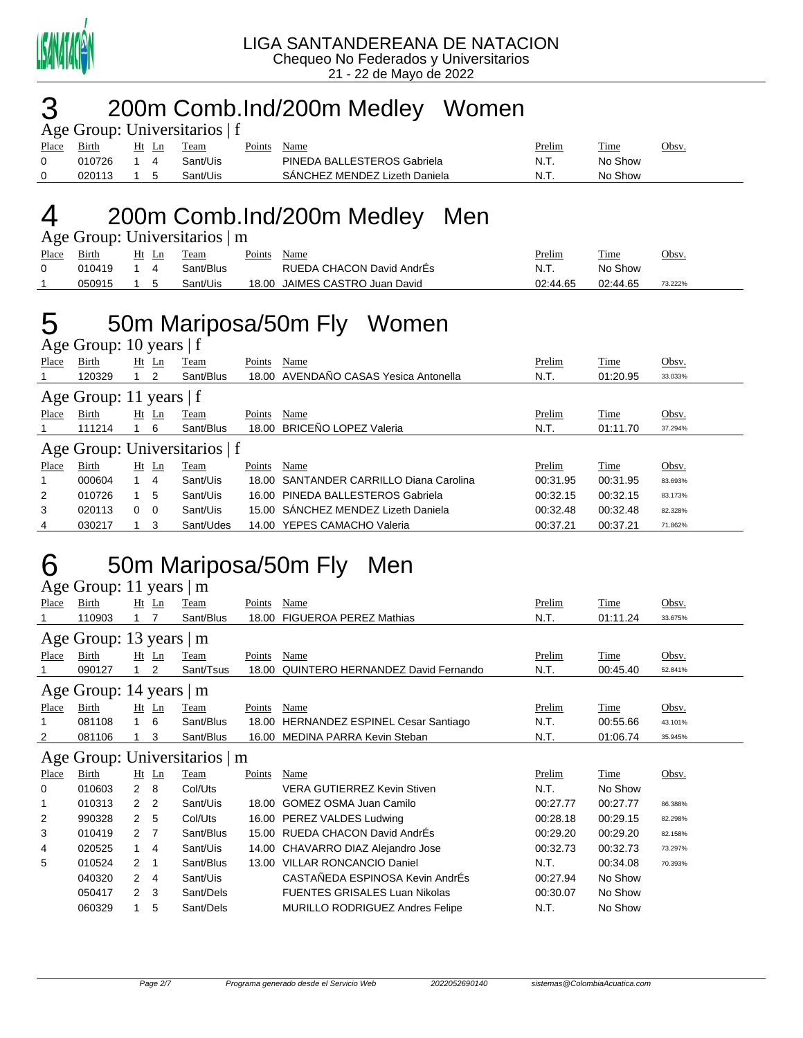

# 3 200m Comb.Ind/200m Medley Women

|       | Age Group: Universitarios   f |     |       |          |        |                               |               |         |              |  |  |  |  |
|-------|-------------------------------|-----|-------|----------|--------|-------------------------------|---------------|---------|--------------|--|--|--|--|
| Place | Birth                         |     | Ht Ln | Team     | Points | Name                          | <b>Prelim</b> | Time    | <u>Obsv.</u> |  |  |  |  |
|       | 010726                        |     |       | Sant/Uis |        | PINEDA BALLESTEROS Gabriela   | N.T.          | No Show |              |  |  |  |  |
|       | 020113                        | 1 5 |       | Sant/Uis |        | SANCHEZ MENDEZ Lizeth Daniela | N.T           | No Show |              |  |  |  |  |

## 4 200m Comb.Ind/200m Medley Men

|          | Age Group: Universitarios   m |             |       |           |        |                                |          |          |         |  |  |  |  |
|----------|-------------------------------|-------------|-------|-----------|--------|--------------------------------|----------|----------|---------|--|--|--|--|
| Place    | <b>Birth</b>                  |             | Ht Ln | Team      | Points | Name                           | Prelim   | Time     | Obsv.   |  |  |  |  |
| $\Omega$ | 010419                        | $1 \quad 4$ |       | Sant/Blus |        | RUEDA CHACON David AndrEs      | N.T.     | No Show  |         |  |  |  |  |
|          | 050915                        | 1 5         |       | Sant/Uis  |        | 18.00 JAIMES CASTRO Juan David | 02:44.65 | 02:44.65 | 73.222% |  |  |  |  |

# 5 50m Mariposa/50m Fly Women

| Age Group: 10 years   f       |        |          |              |           |        |                                         |          |          |         |  |  |  |  |
|-------------------------------|--------|----------|--------------|-----------|--------|-----------------------------------------|----------|----------|---------|--|--|--|--|
| Place                         | Birth  |          | $Ht$ Ln      | Team      | Points | Name                                    | Prelim   | Time     | Obsv.   |  |  |  |  |
|                               | 120329 |          | 2            | Sant/Blus |        | 18.00 AVENDAÑO CASAS Yesica Antonella   | N.T.     | 01:20.95 | 33.033% |  |  |  |  |
| Age Group: 11 years $ f $     |        |          |              |           |        |                                         |          |          |         |  |  |  |  |
| Place                         | Birth  |          | $Ht$ Ln      | Team      | Points | Name                                    | Prelim   | Time     | Obsv.   |  |  |  |  |
|                               | 111214 |          | 6            | Sant/Blus | 18.00  | BRICEÑO LOPEZ Valeria                   | N.T.     | 01:11.70 | 37.294% |  |  |  |  |
| Age Group: Universitarios   f |        |          |              |           |        |                                         |          |          |         |  |  |  |  |
|                               |        |          |              |           |        |                                         |          |          |         |  |  |  |  |
| Place                         | Birth  |          | <u>Ht Ln</u> | Team      | Points | Name                                    | Prelim   | Time     | Obsv.   |  |  |  |  |
| 1                             | 000604 |          | 4            | Sant/Uis  |        | 18.00 SANTANDER CARRILLO Diana Carolina | 00:31.95 | 00:31.95 | 83.693% |  |  |  |  |
| 2                             | 010726 |          | 5            | Sant/Uis  |        | 16.00 PINEDA BALLESTEROS Gabriela       | 00:32.15 | 00:32.15 | 83.173% |  |  |  |  |
| 3                             | 020113 | $\Omega$ | $\Omega$     | Sant/Uis  |        | 15.00 SÁNCHEZ MENDEZ Lizeth Daniela     | 00:32.48 | 00:32.48 | 82.328% |  |  |  |  |

# 6 50m Mariposa/50m Fly Men

| Age Group: 11 years $ m $ |                               |                |         |                               |        |                                         |          |             |         |  |  |  |  |
|---------------------------|-------------------------------|----------------|---------|-------------------------------|--------|-----------------------------------------|----------|-------------|---------|--|--|--|--|
| Place                     | Birth                         |                | $Ht$ Ln | Team                          | Points | Name                                    | Prelim   | <b>Time</b> | Obsv.   |  |  |  |  |
|                           | 110903                        | 1              | 7       | Sant/Blus                     | 18.00  | <b>FIGUEROA PEREZ Mathias</b>           | N.T.     | 01:11.24    | 33.675% |  |  |  |  |
|                           | Age Group: 13 years   m       |                |         |                               |        |                                         |          |             |         |  |  |  |  |
| Place                     | Birth                         |                | $Ht$ Ln | Team                          | Points | Name                                    | Prelim   | <b>Time</b> | Obsv.   |  |  |  |  |
|                           | 090127                        |                | 2       | Sant/Tsus                     | 18.00  | QUINTERO HERNANDEZ David Fernando       | N.T.     | 00:45.40    | 52.841% |  |  |  |  |
|                           | Age Group: 14 years $\vert$ m |                |         |                               |        |                                         |          |             |         |  |  |  |  |
| Place                     | <b>Birth</b>                  |                | $Ht$ Ln | Team                          | Points | Name                                    | Prelim   | Time        | Obsv.   |  |  |  |  |
|                           | 081108                        | 1              | 6       | Sant/Blus                     | 18.00  | <b>HERNANDEZ ESPINEL Cesar Santiago</b> | N.T.     | 00:55.66    | 43.101% |  |  |  |  |
| 2                         | 081106                        |                | 3       | Sant/Blus                     |        | 16.00 MEDINA PARRA Kevin Steban         | N.T.     | 01:06.74    | 35.945% |  |  |  |  |
|                           |                               |                |         | Age Group: Universitarios   m |        |                                         |          |             |         |  |  |  |  |
| Place                     | <b>Birth</b>                  |                | $Ht$ Ln | Team                          | Points | Name                                    | Prelim   | Time        | Obsv.   |  |  |  |  |
| 0                         | 010603                        | $\overline{2}$ | -8      | Col/Uts                       |        | <b>VERA GUTIERREZ Kevin Stiven</b>      | N.T.     | No Show     |         |  |  |  |  |
| -1                        | 010313                        | 2              | 2       | Sant/Uis                      | 18.00  | <b>GOMEZ OSMA Juan Camilo</b>           | 00:27.77 | 00:27.77    | 86.388% |  |  |  |  |
| 2                         | 990328                        | $\mathbf{2}$   | 5       | Col/Uts                       | 16.00  | PEREZ VALDES Ludwing                    | 00:28.18 | 00:29.15    | 82.298% |  |  |  |  |
| 3                         | 010419                        | 2              | - 7     | Sant/Blus                     | 15.00  | RUEDA CHACON David AndrÉs               | 00:29.20 | 00:29.20    | 82.158% |  |  |  |  |
| 4                         | 020525                        | $\mathbf{1}$   | 4       | Sant/Uis                      | 14.00  | CHAVARRO DIAZ Alejandro Jose            | 00:32.73 | 00:32.73    | 73.297% |  |  |  |  |
| 5                         | 010524                        | 2              | -1      | Sant/Blus                     | 13.00  | <b>VILLAR RONCANCIO Daniel</b>          | N.T.     | 00:34.08    | 70.393% |  |  |  |  |
|                           | 040320                        | 2              | 4       | Sant/Uis                      |        | CASTAÑEDA ESPINOSA Kevin AndrÉs         | 00:27.94 | No Show     |         |  |  |  |  |
|                           | 050417                        | 2              | 3       | Sant/Dels                     |        | <b>FUENTES GRISALES Luan Nikolas</b>    | 00:30.07 | No Show     |         |  |  |  |  |
|                           | 060329                        | 1              | 5       | Sant/Dels                     |        | <b>MURILLO RODRIGUEZ Andres Felipe</b>  | N.T.     | No Show     |         |  |  |  |  |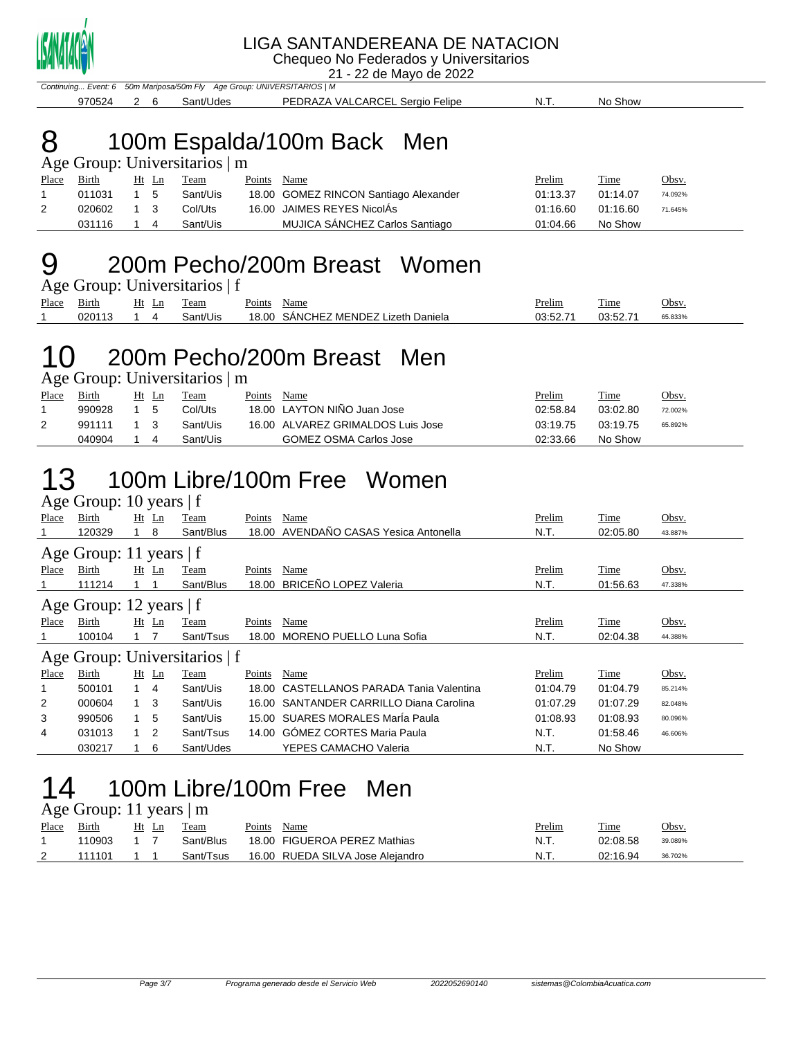

#### LIGA SANTANDEREANA DE NATACION

Chequeo No Federados y Universitarios

21 - 22 de Mayo de 2022

|        |           |           | Continuing Event: 6 50m Mariposa/50m Fly Age Group: UNIVERSITARIOS   M |      |         |  |
|--------|-----------|-----------|------------------------------------------------------------------------|------|---------|--|
| 970524 | $\sim 26$ | Sant/Udes | PEDRAZA VALCARCEL Sergio Felipe                                        | N.T. | No Show |  |

# 8 100m Espalda/100m Back Men

Age Group: Universitarios | m

| Place | Birth  |             | Ht Ln | Team     | Points | Name                                  | <u>Prelim</u> | Time     | <u>Obsv.</u> |
|-------|--------|-------------|-------|----------|--------|---------------------------------------|---------------|----------|--------------|
|       | 011031 | 1 5         |       | Sant/Uis |        | 18.00 GOMEZ RINCON Santiago Alexander | 01:13.37      | 01:14.07 | 74.092%      |
| 2     | 020602 | $1 \quad 3$ |       | Col/Uts  |        | 16.00 JAIMES REYES NicolÁs            | 01:16.60      | 01:16.60 | 71.645%      |
|       | 031116 |             |       | Sant/Uis |        | MUJICA SANCHEZ Carlos Santiago        | 01:04.66      | No Show  |              |

#### 9 200m Pecho/200m Breast Women

Age Group: Universitarios | f

| Place | $\sim$ .<br>Birth | H١<br>Ln | eam      | Points | Name                                       | Prelim            | m.<br>Time | Obsv    |
|-------|-------------------|----------|----------|--------|--------------------------------------------|-------------------|------------|---------|
|       | 020113            |          | iant/Uis | 18.00  | MENDEZ '<br>CHEZ<br>Lizeth Daniela<br>3ANC | 02.59 Z<br>uJ.JZ. | 03:52.     | 35.833% |
|       |                   |          |          |        |                                            |                   |            |         |

#### 10 200m Pecho/200m Breast Men

Age Group: Universitarios | m

|       |        | Ht |              |          |        |                                   |          |          |              |
|-------|--------|----|--------------|----------|--------|-----------------------------------|----------|----------|--------------|
| Place | Birth  |    | -Ln          | Team     | Points | Name                              | Prelim   | Time     | <u>Obsv.</u> |
|       | 990928 |    | $\mathbf{r}$ | Col/Uts  |        | 18.00 LAYTON NINO Juan Jose       | 02:58.84 | 03:02.80 | 72.002%      |
|       | 991111 |    |              | Sant/Uis |        | 16.00 ALVAREZ GRIMALDOS Luis Jose | 03:19.75 | 03:19.75 | 65.892%      |
|       | 040904 |    |              | Sant/Uis |        | <b>GOMEZ OSMA Carlos Jose</b>     | 02:33.66 | No Show  |              |
|       |        |    |              |          |        |                                   |          |          |              |

## 13 100m Libre/100m Free Women

| Age Group: 10 years   f   |                         |              |                |                               |        |                                    |          |             |         |  |  |  |
|---------------------------|-------------------------|--------------|----------------|-------------------------------|--------|------------------------------------|----------|-------------|---------|--|--|--|
| Place                     | Birth                   |              | $Ht$ Ln        | Team                          | Points | Name                               | Prelim   | Time        | Obsv.   |  |  |  |
|                           | 120329                  |              | 8              | Sant/Blus                     | 18.00  | AVENDAÑO CASAS Yesica Antonella    | N.T.     | 02:05.80    | 43.887% |  |  |  |
| Age Group: 11 years $ f $ |                         |              |                |                               |        |                                    |          |             |         |  |  |  |
| Place                     | Birth                   |              | $Ht$ Ln        | Team                          | Points | Name                               | Prelim   | <b>Time</b> | Obsv.   |  |  |  |
|                           | 111214                  |              |                | Sant/Blus                     | 18.00  | BRICEÑO LOPEZ Valeria              | N.T.     | 01:56.63    | 47.338% |  |  |  |
|                           | Age Group: 12 years   f |              |                |                               |        |                                    |          |             |         |  |  |  |
| Place                     | Birth                   |              | $Ht$ Ln        | Team                          | Points | Name                               | Prelim   | Time        | Obsv.   |  |  |  |
|                           | 100104                  |              |                | Sant/Tsus                     | 18.00  | MORENO PUELLO Luna Sofia           | N.T.     | 02:04.38    | 44.388% |  |  |  |
|                           |                         |              |                | Age Group: Universitarios   f |        |                                    |          |             |         |  |  |  |
| Place                     | Birth                   |              | $Ht$ Ln        | Team                          | Points | Name                               | Prelim   | Time        | Obsv.   |  |  |  |
|                           | 500101                  | 1            | $\overline{4}$ | Sant/Uis                      | 18.00  | CASTELLANOS PARADA Tania Valentina | 01:04.79 | 01:04.79    | 85.214% |  |  |  |
| 2                         | 000604                  | $\mathbf{1}$ | -3             | Sant/Uis                      | 16.00  | SANTANDER CARRILLO Diana Carolina  | 01:07.29 | 01:07.29    | 82.048% |  |  |  |
| 3                         | 990506                  |              | -5             | Sant/Uis                      |        | 15.00 SUARES MORALES Maria Paula   | 01:08.93 | 01:08.93    | 80.096% |  |  |  |
| 4                         | 031013                  |              | 2              | Sant/Tsus                     |        | 14.00 GÓMEZ CORTES Maria Paula     | N.T.     | 01:58.46    | 46.606% |  |  |  |
|                           | 030217                  |              | 6              | Sant/Udes                     |        | YEPES CAMACHO Valeria              | N.T.     | No Show     |         |  |  |  |

# 14 100m Libre/100m Free Men

#### Age Group: 11 years | m

| Place | Birth  | Ht | eam       | Points | Name                         | Prelim | Time     | Obsv.   |
|-------|--------|----|-----------|--------|------------------------------|--------|----------|---------|
|       | 110903 |    | Sant/Blus |        | 18.00 FIGUEROA PEREZ Mathias | N.T.   | 02:08.58 | 39.089% |
|       | 111101 |    | Sant/Tsus | 16.00  | RUEDA SILVA Jose Aleiandro   | N.T.   | 02:16.94 | 36.702% |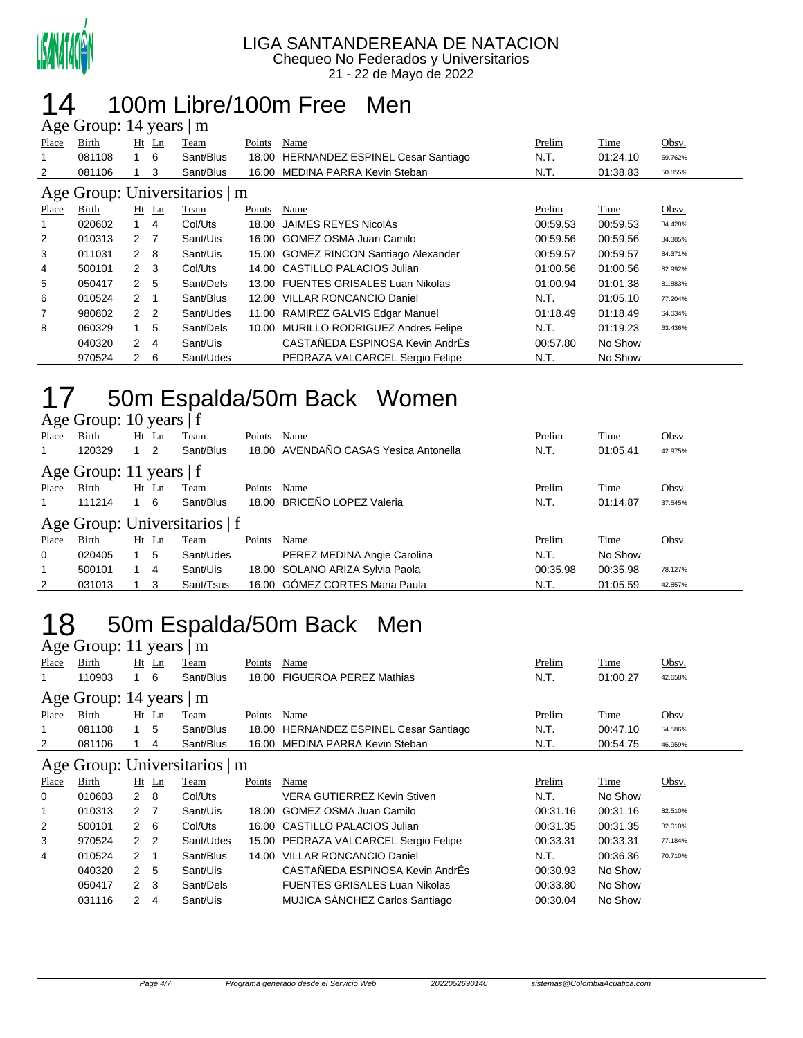

#### 14 100m Libre/100m Free Men Age Group: 14 years | m

|                | $T_{\rm A}$ Oroup. It years $\rm \mu m$ |                  |                |                               |        |                                        |          |          |         |
|----------------|-----------------------------------------|------------------|----------------|-------------------------------|--------|----------------------------------------|----------|----------|---------|
| Place          | Birth                                   |                  | $Ht$ Ln        | Team                          | Points | Name                                   | Prelim   | Time     | Obsv.   |
|                | 081108                                  |                  | - 6            | Sant/Blus                     |        | 18.00 HERNANDEZ ESPINEL Cesar Santiago | N.T.     | 01:24.10 | 59.762% |
| 2              | 081106                                  |                  | 3              | Sant/Blus                     |        | 16.00 MEDINA PARRA Kevin Steban        | N.T.     | 01:38.83 | 50.855% |
|                |                                         |                  |                | Age Group: Universitarios   m |        |                                        |          |          |         |
| Place          | Birth                                   |                  | $Ht$ Ln        | Team                          | Points | Name                                   | Prelim   | Time     | Obsv.   |
| 1              | 020602                                  | 1.               | 4              | Col/Uts                       |        | 18.00 JAIMES REYES NicolÁs             | 00:59.53 | 00:59.53 | 84.428% |
| $\overline{2}$ | 010313                                  | $2 \overline{7}$ |                | Sant/Uis                      |        | 16.00 GOMEZ OSMA Juan Camilo           | 00:59.56 | 00:59.56 | 84.385% |
| 3              | 011031                                  | $2 \quad 8$      |                | Sant/Uis                      |        | 15.00 GOMEZ RINCON Santiago Alexander  | 00:59.57 | 00:59.57 | 84.371% |
| 4              | 500101                                  | $2 \quad 3$      |                | Col/Uts                       |        | 14.00 CASTILLO PALACIOS Julian         | 01:00.56 | 01:00.56 | 82.992% |
| 5              | 050417                                  | 2 <sub>5</sub>   |                | Sant/Dels                     |        | 13.00 FUENTES GRISALES Luan Nikolas    | 01:00.94 | 01:01.38 | 81.883% |
| 6              | 010524                                  | 2                | $\overline{1}$ | Sant/Blus                     |        | 12.00 VILLAR RONCANCIO Daniel          | N.T.     | 01:05.10 | 77.204% |
| 7              | 980802                                  | 2 <sub>2</sub>   |                | Sant/Udes                     |        | 11.00 RAMIREZ GALVIS Edgar Manuel      | 01:18.49 | 01:18.49 | 64.034% |
| 8              | 060329                                  | $\mathbf{1}$     | 5              | Sant/Dels                     |        | 10.00 MURILLO RODRIGUEZ Andres Felipe  | N.T.     | 01:19.23 | 63.436% |
|                | 040320                                  | 2                | 4              | Sant/Uis                      |        | CASTAÑEDA ESPINOSA Kevin AndrÉs        | 00:57.80 | No Show  |         |
|                | 970524                                  | $\mathbf{2}$     | - 6            | Sant/Udes                     |        | PEDRAZA VALCARCEL Sergio Felipe        | N.T.     | No Show  |         |
|                |                                         |                  |                |                               |        |                                        |          |          |         |

# 17 50m Espalda/50m Back Women

|                           | Age Group: 10 years $ f $ |    |         |                               |        |                                       |          |             |         |  |  |  |  |
|---------------------------|---------------------------|----|---------|-------------------------------|--------|---------------------------------------|----------|-------------|---------|--|--|--|--|
| Place                     | <b>Birth</b>              | Ht | Ln      | <u>Team</u>                   | Points | Name                                  | Prelim   | <b>Time</b> | Obsv.   |  |  |  |  |
|                           | 120329                    |    |         | Sant/Blus                     |        | 18.00 AVENDAÑO CASAS Yesica Antonella | N.T.     | 01:05.41    | 42.975% |  |  |  |  |
| Age Group: 11 years $ f $ |                           |    |         |                               |        |                                       |          |             |         |  |  |  |  |
| Place                     | Birth                     |    | $Ht$ Ln | Team                          | Points | Name                                  | Prelim   | Time        | Obsv.   |  |  |  |  |
|                           | 111214                    |    | -6      | Sant/Blus                     | 18.00  | BRICEÑO LOPEZ Valeria                 | N.T.     | 01:14.87    | 37.545% |  |  |  |  |
|                           |                           |    |         | Age Group: Universitarios   f |        |                                       |          |             |         |  |  |  |  |
| Place                     | Birth                     |    | $Ht$ Ln | Team                          | Points | Name                                  | Prelim   | Time        | Obsv.   |  |  |  |  |
| $\Omega$                  | 020405                    |    | 5       | Sant/Udes                     |        | PEREZ MEDINA Angie Carolina           | N.T.     | No Show     |         |  |  |  |  |
| 1                         | 500101                    |    | 4       | Sant/Uis                      |        | 18.00 SOLANO ARIZA Sylvia Paola       | 00:35.98 | 00:35.98    | 78.127% |  |  |  |  |
| 2                         | 031013                    |    | 3       | Sant/Tsus                     |        | 16.00 GÓMEZ CORTES Maria Paula        | N.T.     | 01:05.59    | 42.857% |  |  |  |  |

# 18 50m Espalda/50m Back Men

|                               | Age Group: 11 years<br>m |                |                |           |        |                                         |          |          |         |  |  |  |
|-------------------------------|--------------------------|----------------|----------------|-----------|--------|-----------------------------------------|----------|----------|---------|--|--|--|
| Place                         | Birth                    | Ht             | Ln             | Team      | Points | Name                                    | Prelim   | Time     | Obsv.   |  |  |  |
|                               | 110903                   |                | 6              | Sant/Blus | 18.00  | <b>FIGUEROA PEREZ Mathias</b>           | N.T.     | 01:00.27 | 42.658% |  |  |  |
| Age Group: 14 years   m       |                          |                |                |           |        |                                         |          |          |         |  |  |  |
| Place                         | Birth                    |                | $Ht$ Ln        | Team      | Points | Name                                    | Prelim   | Time     | Obsv.   |  |  |  |
|                               | 081108                   |                | 5              | Sant/Blus | 18.00  | <b>HERNANDEZ ESPINEL Cesar Santiago</b> | N.T.     | 00:47.10 | 54.586% |  |  |  |
| 2                             | 081106                   |                | 4              | Sant/Blus |        | 16.00 MEDINA PARRA Kevin Steban         | N.T.     | 00:54.75 | 46.959% |  |  |  |
| Age Group: Universitarios   m |                          |                |                |           |        |                                         |          |          |         |  |  |  |
| Place                         | Birth                    |                | $Ht$ Ln        | Team      | Points | Name                                    | Prelim   | Time     | Obsv.   |  |  |  |
| 0                             | 010603                   | $2 \quad 8$    |                | Col/Uts   |        | <b>VERA GUTIERREZ Kevin Stiven</b>      | N.T.     | No Show  |         |  |  |  |
|                               | 010313                   | 2 <sub>7</sub> |                | Sant/Uis  | 18.00  | <b>GOMEZ OSMA Juan Camilo</b>           | 00:31.16 | 00:31.16 | 82.510% |  |  |  |
| 2                             | 500101                   | $2\quad 6$     |                | Col/Uts   |        | 16.00 CASTILLO PALACIOS Julian          | 00:31.35 | 00:31.35 | 82.010% |  |  |  |
| 3                             | 970524                   | $\mathbf{2}$   | $\overline{2}$ | Sant/Udes |        | 15.00 PEDRAZA VALCARCEL Sergio Felipe   | 00:33.31 | 00:33.31 | 77.184% |  |  |  |
| 4                             | 010524                   | $\overline{2}$ | 1              | Sant/Blus | 14.00  | <b>VILLAR RONCANCIO Daniel</b>          | N.T.     | 00:36.36 | 70.710% |  |  |  |
|                               | 040320                   | 2              | 5              | Sant/Uis  |        | CASTAÑEDA ESPINOSA Kevin AndrÉs         | 00:30.93 | No Show  |         |  |  |  |
|                               | 050417                   | 2              | 3              | Sant/Dels |        | <b>FUENTES GRISALES Luan Nikolas</b>    | 00:33.80 | No Show  |         |  |  |  |
|                               | 031116                   | $\overline{2}$ | 4              | Sant/Uis  |        | MUJICA SÁNCHEZ Carlos Santiago          | 00:30.04 | No Show  |         |  |  |  |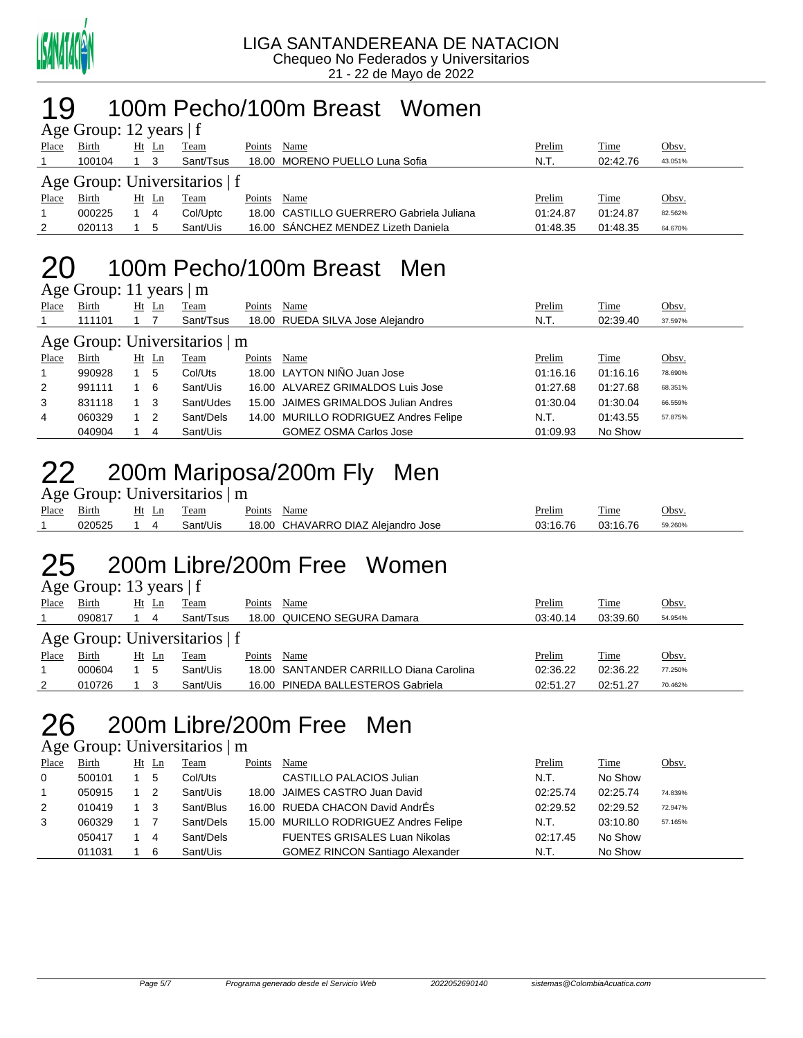

### 19 100m Pecho/100m Breast Women

| Age Group: 12 years $ f $ |                                 |    |                |           |        |                                          |          |             |         |  |  |  |
|---------------------------|---------------------------------|----|----------------|-----------|--------|------------------------------------------|----------|-------------|---------|--|--|--|
| Place                     | Birth                           |    | Ht Ln          | Team      | Points | Name                                     | Prelim   | Time        | Obsv.   |  |  |  |
|                           | 100104                          |    | - 3            | Sant/Tsus |        | 18.00 MORENO PUELLO Luna Sofia           | N.T.     | 02:42.76    | 43.051% |  |  |  |
|                           | Age Group: Universitarios $ f $ |    |                |           |        |                                          |          |             |         |  |  |  |
| Place                     | <b>Birth</b>                    | Ht | $\mathbf{L}$ n | Team      | Points | Name                                     | Prelim   | <u>Time</u> | Obsv.   |  |  |  |
|                           | 000225                          |    | -4             | Col/Uptc  |        | 18.00 CASTILLO GUERRERO Gabriela Juliana | 01:24.87 | 01:24.87    | 82.562% |  |  |  |
| 2                         | 020113                          |    | 5              | Sant/Uis  |        | 16.00 SÁNCHEZ MENDEZ Lizeth Daniela      | 01:48.35 | 01:48.35    | 64.670% |  |  |  |

### 20 100m Pecho/100m Breast Men

| Age Group: 11 years   m |  |  |
|-------------------------|--|--|
|-------------------------|--|--|

| ັ                             |              |  |         |           |        |                                       |          |          |         |  |  |
|-------------------------------|--------------|--|---------|-----------|--------|---------------------------------------|----------|----------|---------|--|--|
| Place                         | Birth        |  | $Ht$ Ln | Team      | Points | Name                                  | Prelim   | Time     | Obsv.   |  |  |
|                               | 111101       |  |         | Sant/Tsus |        | 18.00 RUEDA SILVA Jose Alejandro      | N.T.     | 02:39.40 | 37.597% |  |  |
| Age Group: Universitarios   m |              |  |         |           |        |                                       |          |          |         |  |  |
| Place                         | <b>Birth</b> |  | Ht Ln   | Team      | Points | Name                                  | Prelim   | Time     | Obsv.   |  |  |
|                               | 990928       |  | 5       | Col/Uts   |        | 18.00 LAYTON NIÑO Juan Jose           | 01:16.16 | 01:16.16 | 78.690% |  |  |
| 2                             | 991111       |  | - 6     | Sant/Uis  |        | 16.00 ALVAREZ GRIMALDOS Luis Jose     | 01:27.68 | 01:27.68 | 68.351% |  |  |
| 3                             | 831118       |  | -3      | Sant/Udes |        | 15.00 JAIMES GRIMALDOS Julian Andres  | 01:30.04 | 01:30.04 | 66.559% |  |  |
| 4                             | 060329       |  | - 2     | Sant/Dels |        | 14.00 MURILLO RODRIGUEZ Andres Felipe | N.T.     | 01:43.55 | 57.875% |  |  |
|                               | 040904       |  | 4       | Sant/Uis  |        | <b>GOMEZ OSMA Carlos Jose</b>         | 01:09.93 | No Show  |         |  |  |

# 22 200m Mariposa/200m Fly Men

| Age Group: Universitarios   m |  |
|-------------------------------|--|
|-------------------------------|--|

| Place | $-$<br>31rtn | H١ | eam     | oints'<br>Name                                        | Prelim          | rent for<br>l'ime | <b>Obsy.</b> |
|-------|--------------|----|---------|-------------------------------------------------------|-----------------|-------------------|--------------|
|       | 020525       |    | ant/Uis | <b>DIAZ</b><br>⊤HAVARRش<br>Aleiandro<br>18.00<br>Jose | ∩?∙1ิ 7ิ A<br>س | <b>03.16</b>      | 59.260%      |

## 25 200m Libre/200m Free Women

| Age Group: 13 years $ f $ |                               |  |         |             |        |                                         |          |             |         |  |  |  |
|---------------------------|-------------------------------|--|---------|-------------|--------|-----------------------------------------|----------|-------------|---------|--|--|--|
| Place                     | Birth                         |  | Ht Ln   | <b>Team</b> | Points | Name                                    | Prelim   | <u>Time</u> | Obsv.   |  |  |  |
|                           | 090817                        |  | 4       | Sant/Tsus   |        | 18.00 QUICENO SEGURA Damara             | 03:40.14 | 03:39.60    | 54.954% |  |  |  |
|                           | Age Group: Universitarios   f |  |         |             |        |                                         |          |             |         |  |  |  |
| Place                     | Birth                         |  | $Ht$ Ln | Team        | Points | Name                                    | Prelim   | <u>Time</u> | Obsv.   |  |  |  |
|                           | 000604                        |  | -5      | Sant/Uis    |        | 18.00 SANTANDER CARRILLO Diana Carolina | 02:36.22 | 02:36.22    | 77.250% |  |  |  |
| 2                         | 010726                        |  |         | Sant/Uis    |        | 16.00 PINEDA BALLESTEROS Gabriela       | 02:51.27 | 02:51.27    | 70.462% |  |  |  |

### 26 200m Libre/200m Free Men

#### Age Group: Universitarios | m

| Place          | <b>Birth</b> | $Ht$ Ln | Team      | Points | Name                                   | Prelim   | <u>Time</u> | Obsv.   |
|----------------|--------------|---------|-----------|--------|----------------------------------------|----------|-------------|---------|
| $\mathbf{0}$   | 500101       | 5       | Col/Uts   |        | CASTILLO PALACIOS Julian               | N.T.     | No Show     |         |
| $\overline{1}$ | 050915       | -2      | Sant/Uis  |        | 18.00 JAIMES CASTRO Juan David         | 02:25.74 | 02:25.74    | 74.839% |
| 2              | 010419       | 3       | Sant/Blus |        | 16.00 RUEDA CHACON David AndrÉs        | 02:29.52 | 02:29.52    | 72.947% |
| 3              | 060329       |         | Sant/Dels |        | 15.00 MURILLO RODRIGUEZ Andres Felipe  | N.T.     | 03:10.80    | 57.165% |
|                | 050417       | 4       | Sant/Dels |        | <b>FUENTES GRISALES Luan Nikolas</b>   | 02:17.45 | No Show     |         |
|                | 011031       | 6       | Sant/Uis  |        | <b>GOMEZ RINCON Santiago Alexander</b> | N.T.     | No Show     |         |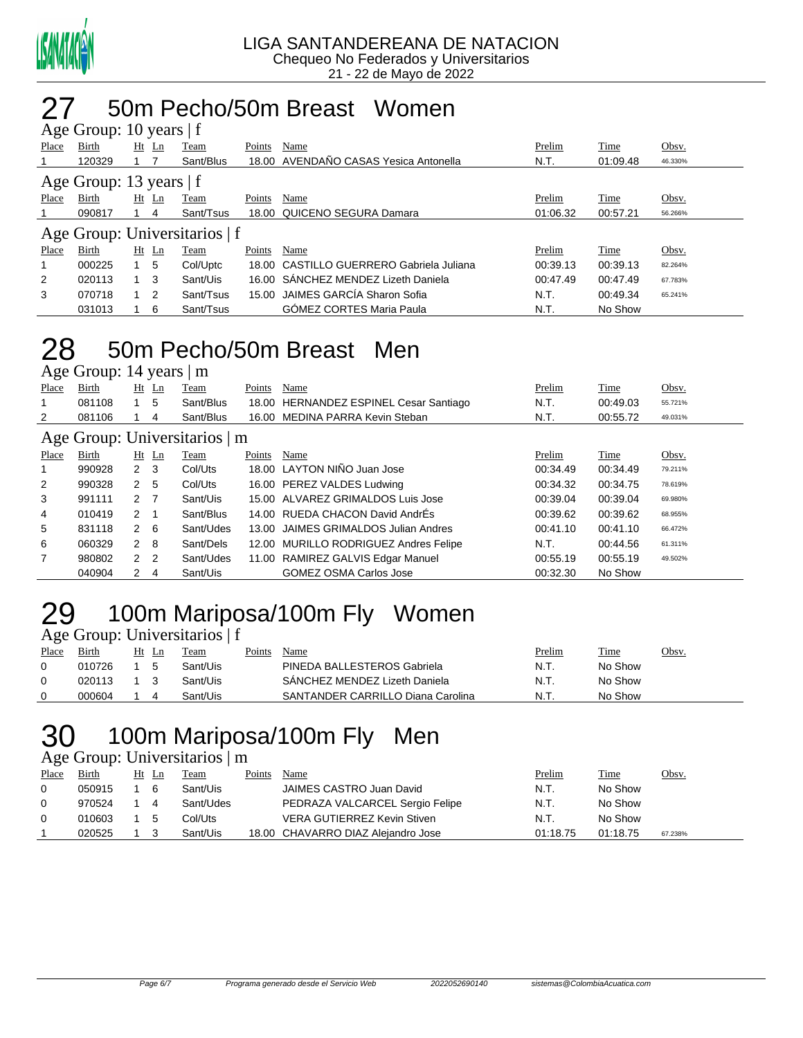

#### 50m Pecho/50m Breast Women  $\sin 10 \text{ years}$  | f

|                           | $\Delta g$ C Oroup. To years $\pm$ |             |                |                               |        |                                          |          |          |         |  |  |
|---------------------------|------------------------------------|-------------|----------------|-------------------------------|--------|------------------------------------------|----------|----------|---------|--|--|
| Place                     | Birth                              |             | $Ht$ Ln        | Team                          | Points | Name                                     | Prelim   | Time     | Obsv.   |  |  |
|                           | 120329                             |             |                | Sant/Blus                     |        | 18.00 AVENDAÑO CASAS Yesica Antonella    | N.T.     | 01:09.48 | 46.330% |  |  |
| Age Group: 13 years $ f $ |                                    |             |                |                               |        |                                          |          |          |         |  |  |
| Place                     | Birth                              |             | $Ht$ Ln        | Team                          | Points | Name                                     | Prelim   | Time     | Obsv.   |  |  |
|                           | 090817                             |             | 4              | Sant/Tsus                     |        | 18.00 QUICENO SEGURA Damara              | 01:06.32 | 00:57.21 | 56.266% |  |  |
|                           |                                    |             |                | Age Group: Universitarios   f |        |                                          |          |          |         |  |  |
| Place                     | Birth                              |             | $Ht$ Ln        | Team                          | Points | Name                                     | Prelim   | Time     | Obsv.   |  |  |
| 1                         | 000225                             |             | 5              | Col/Uptc                      |        | 18.00 CASTILLO GUERRERO Gabriela Juliana | 00:39.13 | 00:39.13 | 82.264% |  |  |
| 2                         | 020113                             | $1 \quad 3$ |                | Sant/Uis                      |        | 16.00 SÁNCHEZ MENDEZ Lizeth Daniela      | 00:47.49 | 00:47.49 | 67.783% |  |  |
| 3                         | 070718                             |             | $\overline{2}$ | Sant/Tsus                     |        | 15.00 JAIMES GARCÍA Sharon Sofia         | N.T.     | 00:49.34 | 65.241% |  |  |
|                           | 031013                             |             | 6              | Sant/Tsus                     |        | <b>GÓMEZ CORTES Maria Paula</b>          | N.T.     | No Show  |         |  |  |

### 28 50m Pecho/50m Breast Men

Age Group: 14 years | m

| Place                         | Birth  |                | $Ht$ Ln | Team      | Points | Name                                   | Prelim   | Time     | Obsv.   |  |  |
|-------------------------------|--------|----------------|---------|-----------|--------|----------------------------------------|----------|----------|---------|--|--|
| 1                             | 081108 | 1.             | 5       | Sant/Blus |        | 18.00 HERNANDEZ ESPINEL Cesar Santiago | N.T.     | 00:49.03 | 55.721% |  |  |
| 2                             | 081106 |                | 4       | Sant/Blus |        | 16.00 MEDINA PARRA Kevin Steban        | N.T.     | 00:55.72 | 49.031% |  |  |
| Age Group: Universitarios   m |        |                |         |           |        |                                        |          |          |         |  |  |
| Place                         | Birth  |                | $Ht$ Ln | Team      | Points | Name                                   | Prelim   | Time     | Obsv.   |  |  |
|                               | 990928 | $2 \quad 3$    |         | Col/Uts   |        | 18.00 LAYTON NIÑO Juan Jose            | 00:34.49 | 00:34.49 | 79.211% |  |  |
| 2                             | 990328 | 2              | - 5     | Col/Uts   |        | 16.00 PEREZ VALDES Ludwing             | 00:34.32 | 00:34.75 | 78.619% |  |  |
| 3                             | 991111 | 2 <sub>7</sub> |         | Sant/Uis  |        | 15.00 ALVAREZ GRIMALDOS Luis Jose      | 00:39.04 | 00:39.04 | 69.980% |  |  |
| 4                             | 010419 | $2 \quad 1$    |         | Sant/Blus |        | 14.00 RUEDA CHACON David AndrÉs        | 00:39.62 | 00:39.62 | 68.955% |  |  |
| 5                             | 831118 | $2 \quad 6$    |         | Sant/Udes |        | 13.00 JAIMES GRIMALDOS Julian Andres   | 00:41.10 | 00:41.10 | 66.472% |  |  |
| 6                             | 060329 | $2 \quad 8$    |         | Sant/Dels |        | 12.00 MURILLO RODRIGUEZ Andres Felipe  | N.T.     | 00:44.56 | 61.311% |  |  |
| 7                             | 980802 | 2 <sub>2</sub> |         | Sant/Udes |        | 11.00 RAMIREZ GALVIS Edgar Manuel      | 00:55.19 | 00:55.19 | 49.502% |  |  |
|                               | 040904 | 2              | 4       | Sant/Uis  |        | <b>GOMEZ OSMA Carlos Jose</b>          | 00:32.30 | No Show  |         |  |  |

# 29 100m Mariposa/100m Fly Women

| Age Group: Universitarios   f |
|-------------------------------|
|-------------------------------|

| Place | Birth  | Ht | Ln | Team     | Points | Name                              | Prelim | Time    | Obsv. |
|-------|--------|----|----|----------|--------|-----------------------------------|--------|---------|-------|
|       | 010726 |    |    | Sant/Uis |        | PINEDA BALLESTEROS Gabriela       | N.T.   | No Show |       |
|       | 020113 |    |    | Sant/Uis |        | SANCHEZ MENDEZ Lizeth Daniela     | N.T.   | No Show |       |
|       | 000604 |    |    | Sant/Uis |        | SANTANDER CARRILLO Diana Carolina | N.T.   | No Show |       |

# 30 100m Mariposa/100m Fly Men

Age Group: Universitarios | m

| Place | <b>Birth</b> | Ht | Ln | Team      | Points | Name                               | <u>Prelim</u> | Time     | Obsv.   |
|-------|--------------|----|----|-----------|--------|------------------------------------|---------------|----------|---------|
|       | 050915       |    | 6  | Sant/Uis  |        | JAIMES CASTRO Juan David           | N.T.          | No Show  |         |
|       | 970524       |    | 4  | Sant/Udes |        | PEDRAZA VALCARCEL Sergio Felipe    | N.T.          | No Show  |         |
|       | 010603       |    | 5  | Col/Uts   |        | <b>VERA GUTIERREZ Kevin Stiven</b> | N.T.          | No Show  |         |
|       | 020525       |    |    | Sant/Uis  |        | 18.00 CHAVARRO DIAZ Alejandro Jose | 01:18.75      | 01:18.75 | 67.238% |